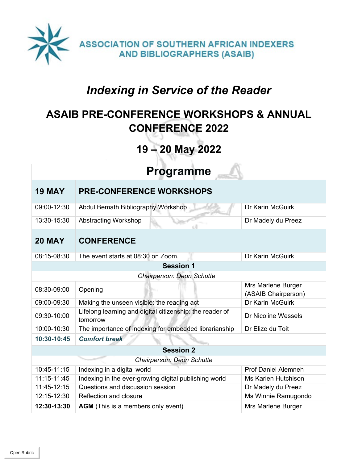

# *Indexing in Service of the Reader*

# **ASAIB PRE-CONFERENCE WORKSHOPS & ANNUAL CONFERENCE 2022**

# **19 – 20 May 2022**

| <b>Programme</b>                    |                                                                      |                                           |  |  |
|-------------------------------------|----------------------------------------------------------------------|-------------------------------------------|--|--|
| <b>19 MAY</b>                       | <b>PRE-CONFERENCE WORKSHOPS</b>                                      |                                           |  |  |
| 09:00-12:30                         | Abdul Bemath Bibliography Workshop                                   | Dr Karin McGuirk                          |  |  |
| 13:30-15:30                         | Abstracting Workshop                                                 | Dr Madely du Preez                        |  |  |
| <b>20 MAY</b>                       | <b>CONFERENCE</b>                                                    |                                           |  |  |
| 08:15-08:30                         | The event starts at 08:30 on Zoom.                                   | Dr Karin McGuirk                          |  |  |
| <b>Session 1</b>                    |                                                                      |                                           |  |  |
| Chairperson: Deon Schutte           |                                                                      |                                           |  |  |
| 08:30-09:00                         | Opening                                                              | Mrs Marlene Burger<br>(ASAIB Chairperson) |  |  |
| 09:00-09:30                         | Making the unseen visible: the reading act                           | Dr Karin McGuirk                          |  |  |
| 09:30-10:00                         | Lifelong learning and digital citizenship: the reader of<br>tomorrow | <b>Dr Nicoline Wessels</b>                |  |  |
| 10:00-10:30                         | The importance of indexing for embedded librarianship                | Dr Elize du Toit                          |  |  |
| <b>Comfort break</b><br>10:30-10:45 |                                                                      |                                           |  |  |
| <b>Session 2</b>                    |                                                                      |                                           |  |  |
| Chairperson: Deon Schutte           |                                                                      |                                           |  |  |
| 10:45-11:15                         | Indexing in a digital world                                          | <b>Prof Daniel Alemneh</b>                |  |  |
| 11:15-11:45                         | Indexing in the ever-growing digital publishing world                | <b>Ms Karien Hutchison</b>                |  |  |
| 11:45-12:15                         | Questions and discussion session                                     | Dr Madely du Preez                        |  |  |
| 12:15-12:30                         | Reflection and closure                                               | Ms Winnie Ramugondo                       |  |  |
| 12:30-13:30                         | <b>AGM</b> (This is a members only event)                            | Mrs Marlene Burger                        |  |  |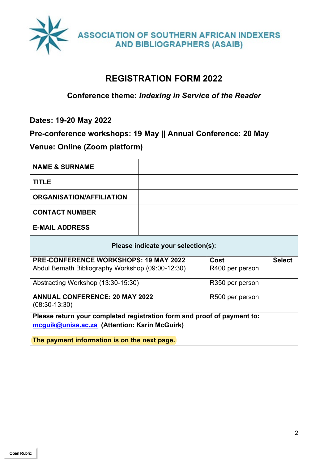

## **REGISTRATION FORM 2022**

#### **Conference theme:** *Indexing in Service of the Reader*

**Dates: 19-20 May 2022**

#### **Pre-conference workshops: 19 May || Annual Conference: 20 May**

## **Venue: Online (Zoom platform)**

| <b>NAME &amp; SURNAME</b>                                                                                                |                 |                 |  |  |  |
|--------------------------------------------------------------------------------------------------------------------------|-----------------|-----------------|--|--|--|
| <b>TITLE</b>                                                                                                             |                 |                 |  |  |  |
| <b>ORGANISATION/AFFILIATION</b>                                                                                          |                 |                 |  |  |  |
| <b>CONTACT NUMBER</b>                                                                                                    |                 |                 |  |  |  |
| <b>E-MAIL ADDRESS</b>                                                                                                    |                 |                 |  |  |  |
| Please indicate your selection(s):                                                                                       |                 |                 |  |  |  |
| <b>PRE-CONFERENCE WORKSHOPS: 19 MAY 2022</b>                                                                             | Cost            | <b>Select</b>   |  |  |  |
| Abdul Bemath Bibliography Workshop (09:00-12:30)                                                                         |                 | R400 per person |  |  |  |
| Abstracting Workshop (13:30-15:30)                                                                                       | R350 per person |                 |  |  |  |
| <b>ANNUAL CONFERENCE: 20 MAY 2022</b><br>$(08:30-13:30)$                                                                 |                 | R500 per person |  |  |  |
| Please return your completed registration form and proof of payment to:<br>mcguik@unisa.ac.za (Attention: Karin McGuirk) |                 |                 |  |  |  |
| The payment information is on the next page.                                                                             |                 |                 |  |  |  |